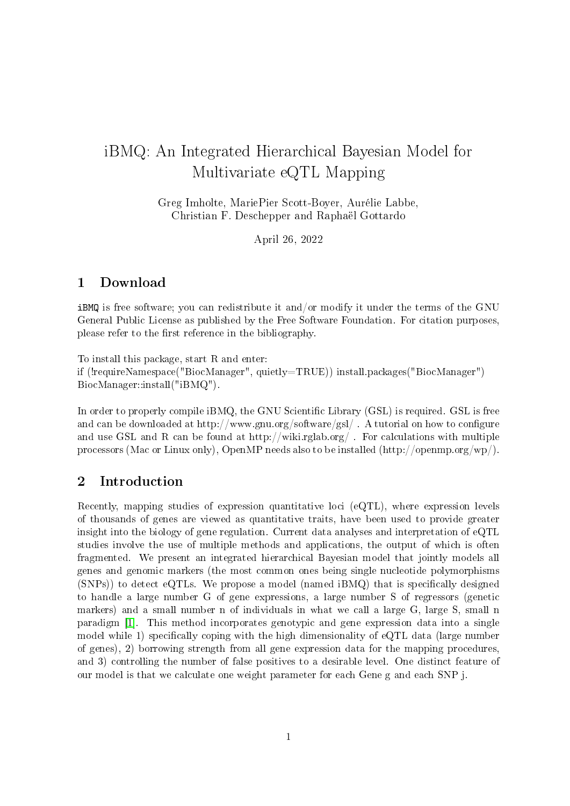# iBMQ: An Integrated Hierarchical Bayesian Model for Multivariate eQTL Mapping

Greg Imholte, MariePier Scott-Boyer, Aurélie Labbe, Christian F. Deschepper and Raphaël Gottardo

April 26, 2022

### 1 Download

iBMQ is free software; you can redistribute it and/or modify it under the terms of the GNU General Public License as published by the Free Software Foundation. For citation purposes, please refer to the first reference in the bibliography.

To install this package, start R and enter:

if (!requireNamespace("BiocManager", quietly=TRUE)) install.packages("BiocManager") BiocManager::install("iBMQ").

In order to properly compile iBMQ, the GNU Scientific Library (GSL) is required. GSL is free and can be downloaded at http://www.gnu.org/software/gsl/. A tutorial on how to configure and use GSL and R can be found at http://wiki.rglab.org/. For calculations with multiple processors (Mac or Linux only), OpenMP needs also to be installed (http://openmp.org/wp/).

### 2 Introduction

Recently, mapping studies of expression quantitative loci  $(e\mathrm{QTL})$ , where expression levels of thousands of genes are viewed as quantitative traits, have been used to provide greater insight into the biology of gene regulation. Current data analyses and interpretation of eQTL studies involve the use of multiple methods and applications, the output of which is often fragmented. We present an integrated hierarchical Bayesian model that jointly models all genes and genomic markers (the most common ones being single nucleotide polymorphisms  $(SNPs)$ ) to detect eQTLs. We propose a model (named  $iBMQ$ ) that is specifically designed to handle a large number G of gene expressions, a large number S of regressors (genetic markers) and a small number n of individuals in what we call a large G, large S, small n paradigm [\[1\]](#page-6-0). This method incorporates genotypic and gene expression data into a single model while 1) specifically coping with the high dimensionality of  $\epsilon QTL$  data (large number of genes), 2) borrowing strength from all gene expression data for the mapping procedures, and 3) controlling the number of false positives to a desirable level. One distinct feature of our model is that we calculate one weight parameter for each Gene g and each SNP j.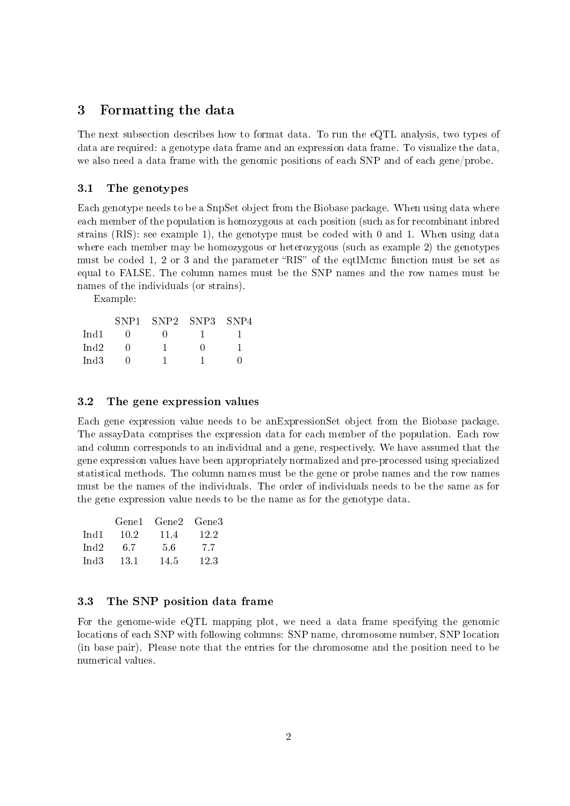#### 3 Formatting the data

The next subsection describes how to format data. To run the eQTL analysis, two types of data are required: a genotype data frame and an expression data frame. To visualize the data, we also need a data frame with the genomic positions of each SNP and of each gene/probe.

#### 3.1 The genotypes

Each genotype needs to be a SnpSet object from the Biobase package. When using data where each member of the population is homozygous at each position (such as for recombinant inbred strains (RIS): see example 1), the genotype must be coded with 0 and 1. When using data where each member may be homozygous or heterozygous (such as example 2) the genotypes must be coded 1, 2 or 3 and the parameter "RIS" of the eqtimation must be set as equal to FALSE. The column names must be the SNP names and the row names must be names of the individuals (or strains).

Example:

|         | SNP <sub>1</sub> | SNP2 | SNP3 | SNP4 |
|---------|------------------|------|------|------|
| Ind1    |                  |      |      |      |
| Ind $2$ |                  |      |      |      |
| Ind $3$ |                  |      |      |      |

#### 3.2 The gene expression values

Each gene expression value needs to be anExpressionSet object from the Biobase package. The assayData comprises the expression data for each member of the population. Each row and column corresponds to an individual and a gene, respectively. We have assumed that the gene expression values have been appropriately normalized and pre-processed using specialized statistical methods. The column names must be the gene or probe names and the row names must be the names of the individuals. The order of individuals needs to be the same as for the gene expression value needs to be the name as for the genotype data.

|         | Gene1 | Gene2 | Gene3 |
|---------|-------|-------|-------|
| Ind1    | 10.2  | 11.4  | 12.2  |
| Ind $2$ | 67    | 5.6   | 77    |
| Ind3    | 13.1  | 14.5  | 12.3  |

#### 3.3 The SNP position data frame

For the genome-wide eQTL mapping plot, we need a data frame specifying the genomic locations of each SNP with following columns: SNP name, chromosome number, SNP location (in base pair). Please note that the entries for the chromosome and the position need to be numerical values.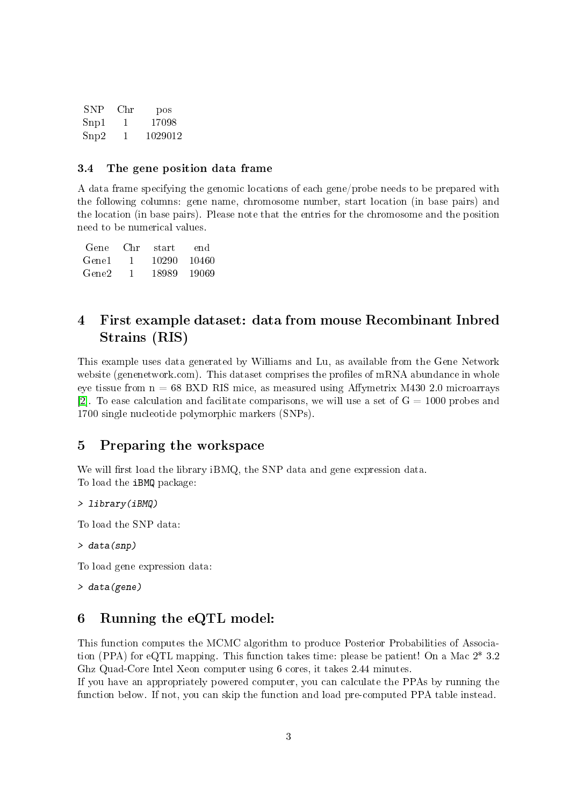| <b>SNP</b> | Chr | pos     |
|------------|-----|---------|
| Snp1       | 1   | 17098   |
| Snp2       | 1   | 1029012 |

#### 3.4 The gene position data frame

A data frame specifying the genomic locations of each gene/probe needs to be prepared with the following columns: gene name, chromosome number, start location (in base pairs) and the location (in base pairs). Please note that the entries for the chromosome and the position need to be numerical values.

| Gene  | Chr | start | end.  |
|-------|-----|-------|-------|
| Gene1 | 1.  | 10290 | 10460 |
| Gene2 |     | 18989 | 19069 |

## 4 First example dataset: data from mouse Recombinant Inbred Strains (RIS)

This example uses data generated by Williams and Lu, as available from the Gene Network website (genenetwork.com). This dataset comprises the profiles of mRNA abundance in whole eye tissue from  $n = 68$  BXD RIS mice, as measured using Affymetrix M430 2.0 microarrays [\[2\]](#page-6-1). To ease calculation and facilitate comparisons, we will use a set of  $G = 1000$  probes and 1700 single nucleotide polymorphic markers (SNPs).

### 5 Preparing the workspace

We will first load the library  $iBMQ$ , the SNP data and gene expression data. To load the iBMQ package:

> library(iBMQ)

To load the SNP data:

```
> data(snp)
```
To load gene expression data:

> data(gene)

### 6 Running the eQTL model:

This function computes the MCMC algorithm to produce Posterior Probabilities of Association (PPA) for eQTL mapping. This function takes time: please be patient! On a Mac 2\* 3.2 Ghz Quad-Core Intel Xeon computer using 6 cores, it takes 2.44 minutes.

If you have an appropriately powered computer, you can calculate the PPAs by running the function below. If not, you can skip the function and load pre-computed PPA table instead.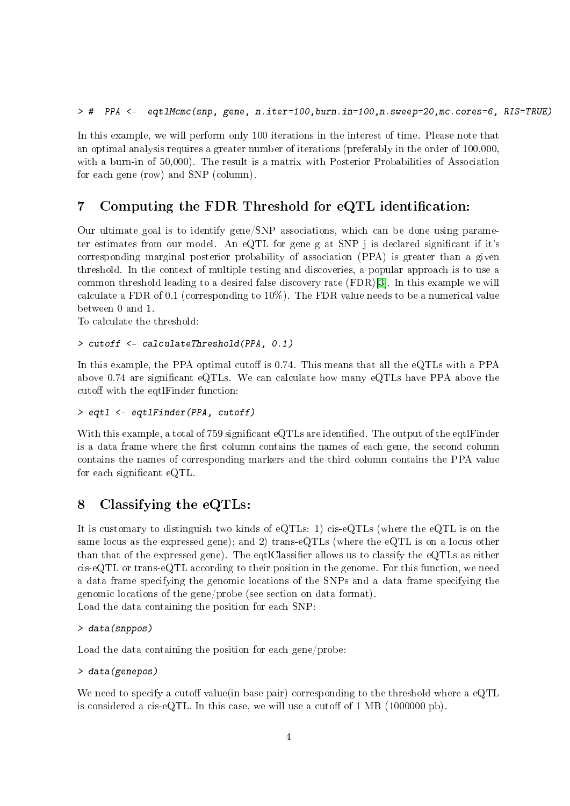In this example, we will perform only 100 iterations in the interest of time. Please note that an optimal analysis requires a greater number of iterations (preferably in the order of 100,000, with a burn-in of 50,000). The result is a matrix with Posterior Probabilities of Association for each gene (row) and SNP (column).

### 7 Computing the FDR Threshold for eQTL identification:

Our ultimate goal is to identify gene/SNP associations, which can be done using parameter estimates from our model. An eQTL for gene g at SNP j is declared significant if it's corresponding marginal posterior probability of association (PPA) is greater than a given threshold. In the context of multiple testing and discoveries, a popular approach is to use a common threshold leading to a desired false discovery rate (FDR)[\[3\]](#page-6-2). In this example we will calculate a FDR of 0.1 (corresponding to 10%). The FDR value needs to be a numerical value between 0 and 1.

To calculate the threshold:

```
> cutoff <- calculateThreshold(PPA, 0.1)
```
In this example, the PPA optimal cutoff is  $0.74$ . This means that all the eQTLs with a PPA above 0.74 are signicant eQTLs. We can calculate how many eQTLs have PPA above the cutoff with the eqtlFinder function:

> eqtl <- eqtlFinder(PPA, cutoff)

With this example, a total of 759 significant eQTLs are identified. The output of the eqtlFinder is a data frame where the first column contains the names of each gene, the second column contains the names of corresponding markers and the third column contains the PPA value for each significant eQTL.

### 8 Classifying the eQTLs:

It is customary to distinguish two kinds of eQTLs: 1) cis-eQTLs (where the eQTL is on the same locus as the expressed gene); and 2) trans-eQTLs (where the eQTL is on a locus other than that of the expressed gene). The eqtlClassifier allows us to classify the eQTLs as either cis-eQTL or trans-eQTL according to their position in the genome. For this function, we need a data frame specifying the genomic locations of the SNPs and a data frame specifying the genomic locations of the gene/probe (see section on data format).

Load the data containing the position for each SNP:

```
> data(snppos)
```
Load the data containing the position for each gene/probe:

#### > data(genepos)

We need to specify a cutoff value(in base pair) corresponding to the threshold where a  $eQTL$ is considered a cis-eQTL. In this case, we will use a cutoff of  $1 \text{ MB } (1000000 \text{ pb})$ .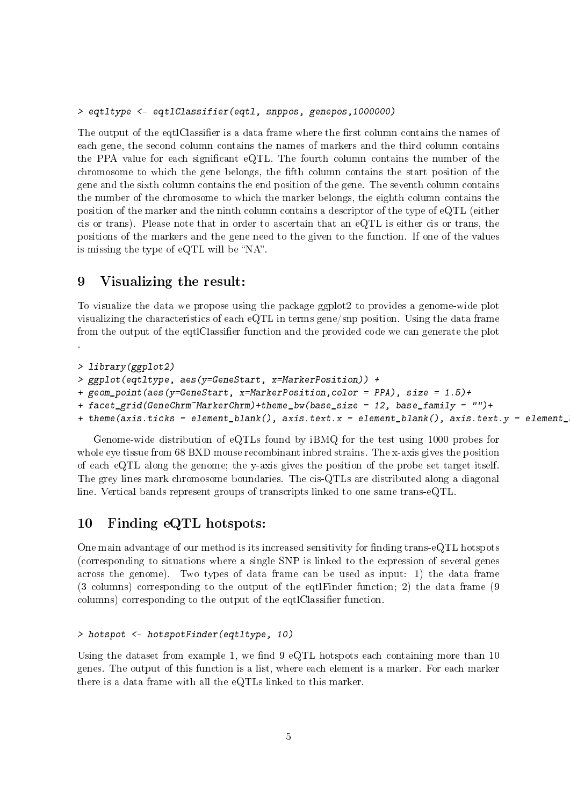> eqtltype <- eqtlClassifier(eqtl, snppos, genepos,1000000)

The output of the eqtlClassifier is a data frame where the first column contains the names of each gene, the second column contains the names of markers and the third column contains the PPA value for each signicant eQTL. The fourth column contains the number of the chromosome to which the gene belongs, the fth column contains the start position of the gene and the sixth column contains the end position of the gene. The seventh column contains the number of the chromosome to which the marker belongs, the eighth column contains the position of the marker and the ninth column contains a descriptor of the type of eQTL (either cis or trans). Please note that in order to ascertain that an eQTL is either cis or trans, the positions of the markers and the gene need to the given to the function. If one of the values is missing the type of eQTL will be " $NA$ ".

#### 9 Visualizing the result:

.

To visualize the data we propose using the package ggplot2 to provides a genome-wide plot visualizing the characteristics of each eQTL in terms gene/snp position. Using the data frame from the output of the eqtlClassifier function and the provided code we can generate the plot

```
> library(ggplot2)
> ggplot(eqtltype, aes(y=GeneStart, x=MarkerPosition)) +
+ geom_point(aes(y=GeneStart, x=MarkerPosition,color = PPA), size = 1.5)+
+ facet_grid(GeneChrm~MarkerChrm)+theme_bw(base_size = 12, base_family = "")+
```

```
+ theme(axis.ticks = element_blank(), axis.text.x = element_blank(), axis.text.y = element_
```
Genome-wide distribution of eQTLs found by iBMQ for the test using 1000 probes for whole eye tissue from 68 BXD mouse recombinant inbred strains. The x-axis gives the position of each eQTL along the genome; the y-axis gives the position of the probe set target itself. The grey lines mark chromosome boundaries. The cis-QTLs are distributed along a diagonal line. Vertical bands represent groups of transcripts linked to one same trans-eQTL.

### 10 Finding eQTL hotspots:

One main advantage of our method is its increased sensitivity for finding trans-eQTL hotspots (corresponding to situations where a single SNP is linked to the expression of several genes across the genome). Two types of data frame can be used as input: 1) the data frame (3 columns) corresponding to the output of the eqtlFinder function; 2) the data frame (9 columns) corresponding to the output of the eqtlClassifier function.

#### > hotspot <- hotspotFinder(eqtltype, 10)

Using the dataset from example 1, we find  $9 \text{ eQTL}$  hotspots each containing more than 10 genes. The output of this function is a list, where each element is a marker. For each marker there is a data frame with all the eQTLs linked to this marker.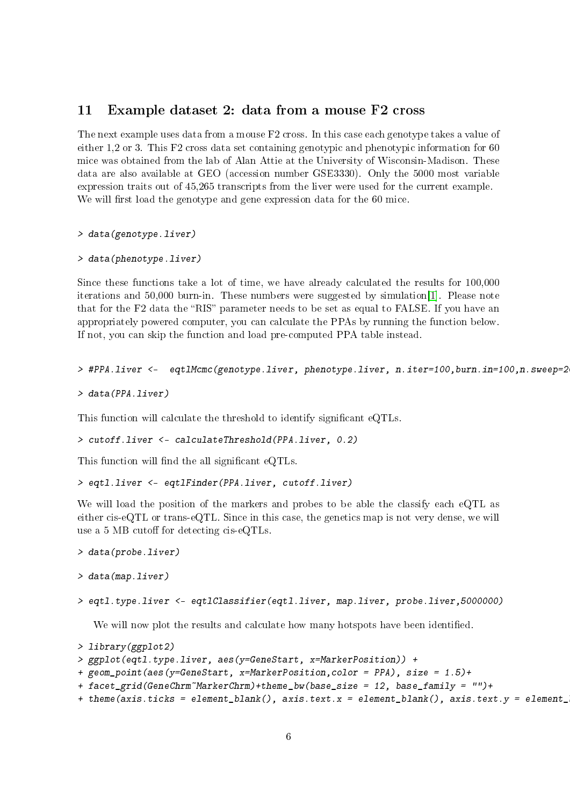#### 11 Example dataset 2: data from a mouse F2 cross

The next example uses data from a mouse F2 cross. In this case each genotype takes a value of either 1,2 or 3. This F2 cross data set containing genotypic and phenotypic information for 60 mice was obtained from the lab of Alan Attie at the University of Wisconsin-Madison. These data are also available at GEO (accession number GSE3330). Only the 5000 most variable expression traits out of 45,265 transcripts from the liver were used for the current example. We will first load the genotype and gene expression data for the 60 mice.

> data(genotype.liver)

```
> data(phenotype.liver)
```
Since these functions take a lot of time, we have already calculated the results for 100,000 iterations and 50,000 burn-in. These numbers were suggested by simulation[\[1\]](#page-6-0). Please note that for the F2 data the "RIS" parameter needs to be set as equal to FALSE. If you have an appropriately powered computer, you can calculate the PPAs by running the function below. If not, you can skip the function and load pre-computed PPA table instead.

```
> #PPA.liver <- eqtlMcmc(genotype.liver, phenotype.liver, n.iter=100,burn.in=100,n.sweep=2
```

```
> data(PPA.liver)
```
This function will calculate the threshold to identify significant eQTLs.

```
> cutoff.liver <- calculateThreshold(PPA.liver, 0.2)
```
This function will find the all significant eQTLs.

```
> eqtl.liver <- eqtlFinder(PPA.liver, cutoff.liver)
```
We will load the position of the markers and probes to be able the classify each eQTL as either cis-eQTL or trans-eQTL. Since in this case, the genetics map is not very dense, we will use a 5 MB cutoff for detecting cis-eQTLs.

```
> data(probe.liver)
```

```
> data(map.liver)
```

```
> eqtl.type.liver <- eqtlClassifier(eqtl.liver, map.liver, probe.liver,5000000)
```
We will now plot the results and calculate how many hotspots have been identified.

```
> library(ggplot2)
> ggplot(eqtl.type.liver, aes(y=GeneStart, x=MarkerPosition)) +
+ geom_point(aes(y=GeneStart, x=MarkerPosition,color = PPA), size = 1.5)+
+ facet_grid(GeneChrm~MarkerChrm)+theme_bw(base_size = 12, base_family = "")+
+ theme(axis.ticks = element_blank(), axis.text.x = element_blank(), axis.text.y = element_
```